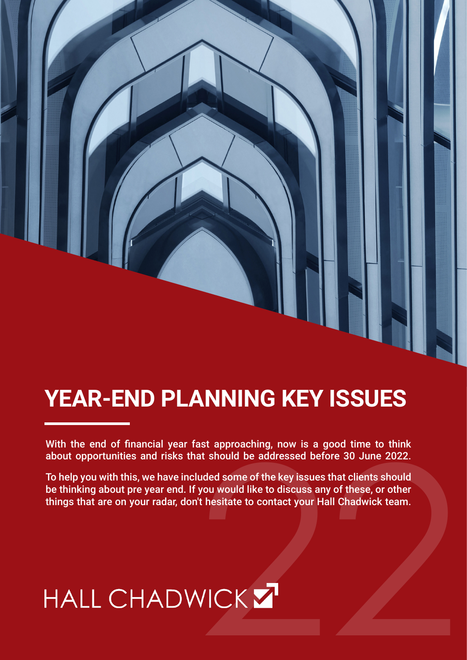# **YEAR-END PLANNING KEY ISSUES**

With the end of financial year fast approaching, now is a good time to think about opportunities and risks that should be addressed before 30 June 2022.

To help you with this, we have included some of the key issues that clients should be thinking about pre year end. If you would like to discuss any of these, or other about opportunities and risks that should be addressed before 30 June 2022.<br>To help you with this, we have included some of the key issues that clients should<br>be thinking about pre year end. If you would like to discuss an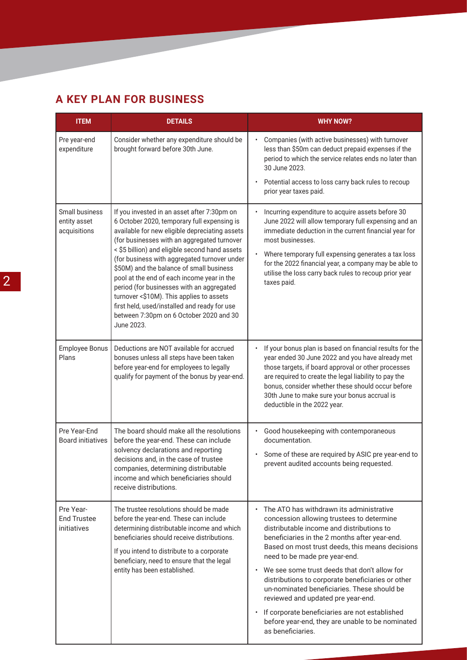### **A KEY PLAN FOR BUSINESS**

| <b>ITEM</b>                                    | <b>DETAILS</b>                                                                                                                                                                                                                                                                                                                                                                                                                                                                                                                                                                            | <b>WHY NOW?</b>                                                                                                                                                                                                                                                                                                                                                                                                                                                                                                                                                                              |
|------------------------------------------------|-------------------------------------------------------------------------------------------------------------------------------------------------------------------------------------------------------------------------------------------------------------------------------------------------------------------------------------------------------------------------------------------------------------------------------------------------------------------------------------------------------------------------------------------------------------------------------------------|----------------------------------------------------------------------------------------------------------------------------------------------------------------------------------------------------------------------------------------------------------------------------------------------------------------------------------------------------------------------------------------------------------------------------------------------------------------------------------------------------------------------------------------------------------------------------------------------|
| Pre year-end<br>expenditure                    | Consider whether any expenditure should be<br>brought forward before 30th June.                                                                                                                                                                                                                                                                                                                                                                                                                                                                                                           | Companies (with active businesses) with turnover<br>less than \$50m can deduct prepaid expenses if the<br>period to which the service relates ends no later than<br>30 June 2023.                                                                                                                                                                                                                                                                                                                                                                                                            |
|                                                |                                                                                                                                                                                                                                                                                                                                                                                                                                                                                                                                                                                           | Potential access to loss carry back rules to recoup<br>prior year taxes paid.                                                                                                                                                                                                                                                                                                                                                                                                                                                                                                                |
| Small business<br>entity asset<br>acquisitions | If you invested in an asset after 7:30pm on<br>6 October 2020, temporary full expensing is<br>available for new eligible depreciating assets<br>(for businesses with an aggregated turnover<br>< \$5 billion) and eligible second hand assets<br>(for business with aggregated turnover under<br>\$50M) and the balance of small business<br>pool at the end of each income year in the<br>period (for businesses with an aggregated<br>turnover <\$10M). This applies to assets<br>first held, used/installed and ready for use<br>between 7:30pm on 6 October 2020 and 30<br>June 2023. | Incurring expenditure to acquire assets before 30<br>June 2022 will allow temporary full expensing and an<br>immediate deduction in the current financial year for<br>most businesses.<br>Where temporary full expensing generates a tax loss<br>for the 2022 financial year, a company may be able to<br>utilise the loss carry back rules to recoup prior year<br>taxes paid.                                                                                                                                                                                                              |
| <b>Employee Bonus</b><br>Plans                 | Deductions are NOT available for accrued<br>bonuses unless all steps have been taken<br>before year-end for employees to legally<br>qualify for payment of the bonus by year-end.                                                                                                                                                                                                                                                                                                                                                                                                         | If your bonus plan is based on financial results for the<br>year ended 30 June 2022 and you have already met<br>those targets, if board approval or other processes<br>are required to create the legal liability to pay the<br>bonus, consider whether these should occur before<br>30th June to make sure your bonus accrual is<br>deductible in the 2022 year.                                                                                                                                                                                                                            |
| Pre Year-End<br><b>Board initiatives</b>       | The board should make all the resolutions<br>before the year-end. These can include<br>solvency declarations and reporting<br>decisions and, in the case of trustee<br>companies, determining distributable<br>income and which beneficiaries should<br>receive distributions.                                                                                                                                                                                                                                                                                                            | Good housekeeping with contemporaneous<br>documentation.<br>Some of these are required by ASIC pre year-end to<br>prevent audited accounts being requested.                                                                                                                                                                                                                                                                                                                                                                                                                                  |
| Pre Year-<br><b>End Trustee</b><br>initiatives | The trustee resolutions should be made<br>before the year-end. These can include<br>determining distributable income and which<br>beneficiaries should receive distributions.<br>If you intend to distribute to a corporate<br>beneficiary, need to ensure that the legal<br>entity has been established.                                                                                                                                                                                                                                                                                 | The ATO has withdrawn its administrative<br>concession allowing trustees to determine<br>distributable income and distributions to<br>beneficiaries in the 2 months after year-end.<br>Based on most trust deeds, this means decisions<br>need to be made pre year-end.<br>We see some trust deeds that don't allow for<br>distributions to corporate beneficiaries or other<br>un-nominated beneficiaries. These should be<br>reviewed and updated pre year-end.<br>If corporate beneficiaries are not established<br>before year-end, they are unable to be nominated<br>as beneficiaries. |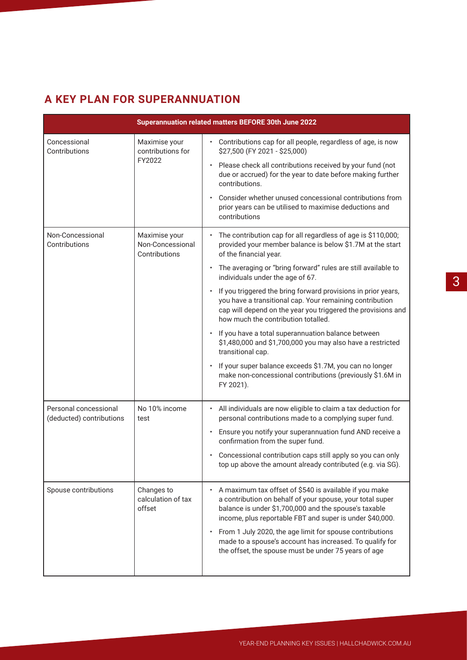### **A KEY PLAN FOR SUPERANNUATION**

| Superannuation related matters BEFORE 30th June 2022 |                                                    |                                                                                                                                                                                                                                                                                                                                                                                                                                                                                                                                                                                                                                                                                                                                                                                                                   |
|------------------------------------------------------|----------------------------------------------------|-------------------------------------------------------------------------------------------------------------------------------------------------------------------------------------------------------------------------------------------------------------------------------------------------------------------------------------------------------------------------------------------------------------------------------------------------------------------------------------------------------------------------------------------------------------------------------------------------------------------------------------------------------------------------------------------------------------------------------------------------------------------------------------------------------------------|
| Concessional<br>Contributions                        | Maximise your<br>contributions for<br>FY2022       | • Contributions cap for all people, regardless of age, is now<br>\$27,500 (FY 2021 - \$25,000)<br>Please check all contributions received by your fund (not<br>$\bullet$<br>due or accrued) for the year to date before making further<br>contributions.<br>Consider whether unused concessional contributions from<br>prior years can be utilised to maximise deductions and<br>contributions                                                                                                                                                                                                                                                                                                                                                                                                                    |
| Non-Concessional<br>Contributions                    | Maximise your<br>Non-Concessional<br>Contributions | The contribution cap for all regardless of age is \$110,000;<br>provided your member balance is below \$1.7M at the start<br>of the financial year.<br>The averaging or "bring forward" rules are still available to<br>individuals under the age of 67.<br>If you triggered the bring forward provisions in prior years,<br>$\bullet$<br>you have a transitional cap. Your remaining contribution<br>cap will depend on the year you triggered the provisions and<br>how much the contribution totalled.<br>If you have a total superannuation balance between<br>$\bullet$<br>\$1,480,000 and \$1,700,000 you may also have a restricted<br>transitional cap.<br>If your super balance exceeds \$1.7M, you can no longer<br>$\bullet$<br>make non-concessional contributions (previously \$1.6M in<br>FY 2021). |
| Personal concessional<br>(deducted) contributions    | No 10% income<br>test                              | All individuals are now eligible to claim a tax deduction for<br>personal contributions made to a complying super fund.<br>Ensure you notify your superannuation fund AND receive a<br>$\bullet$<br>confirmation from the super fund.<br>Concessional contribution caps still apply so you can only<br>top up above the amount already contributed (e.g. via SG).                                                                                                                                                                                                                                                                                                                                                                                                                                                 |
| Spouse contributions                                 | Changes to<br>calculation of tax<br>offset         | A maximum tax offset of \$540 is available if you make<br>a contribution on behalf of your spouse, your total super<br>balance is under \$1,700,000 and the spouse's taxable<br>income, plus reportable FBT and super is under \$40,000.<br>From 1 July 2020, the age limit for spouse contributions<br>$\bullet$<br>made to a spouse's account has increased. To qualify for<br>the offset, the spouse must be under 75 years of age                                                                                                                                                                                                                                                                                                                                                                             |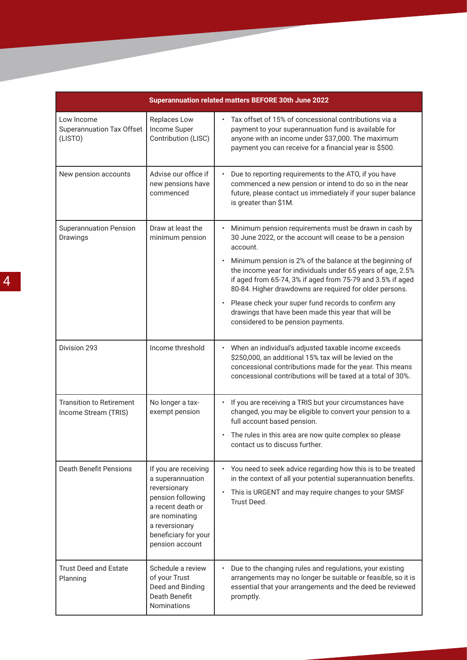| Superannuation related matters BEFORE 30th June 2022      |                                                                                                                                                                                   |                                                                                                                                                                                                                                                                                                                                                                                                                                                                                                                                                                |
|-----------------------------------------------------------|-----------------------------------------------------------------------------------------------------------------------------------------------------------------------------------|----------------------------------------------------------------------------------------------------------------------------------------------------------------------------------------------------------------------------------------------------------------------------------------------------------------------------------------------------------------------------------------------------------------------------------------------------------------------------------------------------------------------------------------------------------------|
| Low Income<br><b>Superannuation Tax Offset</b><br>(LISTO) | Replaces Low<br>Income Super<br>Contribution (LISC)                                                                                                                               | Tax offset of 15% of concessional contributions via a<br>payment to your superannuation fund is available for<br>anyone with an income under \$37,000. The maximum<br>payment you can receive for a financial year is \$500.                                                                                                                                                                                                                                                                                                                                   |
| New pension accounts                                      | Advise our office if<br>new pensions have<br>commenced                                                                                                                            | Due to reporting requirements to the ATO, if you have<br>commenced a new pension or intend to do so in the near<br>future, please contact us immediately if your super balance<br>is greater than \$1M.                                                                                                                                                                                                                                                                                                                                                        |
| <b>Superannuation Pension</b><br>Drawings                 | Draw at least the<br>minimum pension                                                                                                                                              | Minimum pension requirements must be drawn in cash by<br>30 June 2022, or the account will cease to be a pension<br>account.<br>Minimum pension is 2% of the balance at the beginning of<br>$\bullet$<br>the income year for individuals under 65 years of age, 2.5%<br>if aged from 65-74, 3% if aged from 75-79 and 3.5% if aged<br>80-84. Higher drawdowns are required for older persons.<br>Please check your super fund records to confirm any<br>$\bullet$<br>drawings that have been made this year that will be<br>considered to be pension payments. |
| Division 293                                              | Income threshold                                                                                                                                                                  | When an individual's adjusted taxable income exceeds<br>\$250,000, an additional 15% tax will be levied on the<br>concessional contributions made for the year. This means<br>concessional contributions will be taxed at a total of 30%.                                                                                                                                                                                                                                                                                                                      |
| <b>Transition to Retirement</b><br>Income Stream (TRIS)   | No longer a tax-<br>exempt pension                                                                                                                                                | If you are receiving a TRIS but your circumstances have<br>changed, you may be eligible to convert your pension to a<br>full account based pension.<br>The rules in this area are now quite complex so please<br>contact us to discuss further.                                                                                                                                                                                                                                                                                                                |
| <b>Death Benefit Pensions</b>                             | If you are receiving<br>a superannuation<br>reversionary<br>pension following<br>a recent death or<br>are nominating<br>a reversionary<br>beneficiary for your<br>pension account | You need to seek advice regarding how this is to be treated<br>in the context of all your potential superannuation benefits.<br>This is URGENT and may require changes to your SMSF<br>$\bullet$<br>Trust Deed.                                                                                                                                                                                                                                                                                                                                                |
| <b>Trust Deed and Estate</b><br>Planning                  | Schedule a review<br>of your Trust<br>Deed and Binding<br>Death Benefit<br>Nominations                                                                                            | Due to the changing rules and regulations, your existing<br>arrangements may no longer be suitable or feasible, so it is<br>essential that your arrangements and the deed be reviewed<br>promptly.                                                                                                                                                                                                                                                                                                                                                             |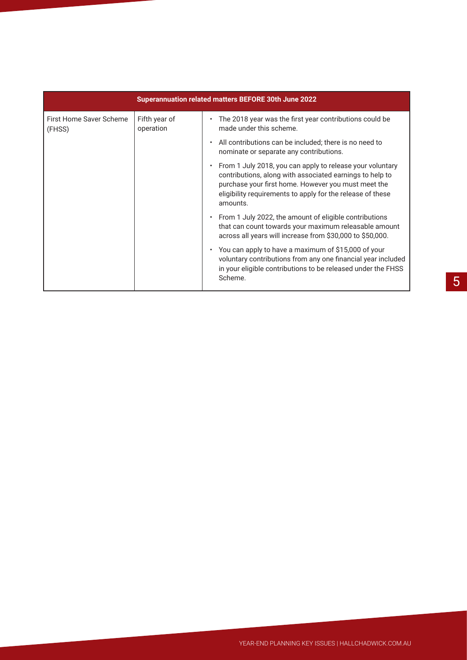| Superannuation related matters BEFORE 30th June 2022 |                            |                                                                                                                                                                                                                                                        |
|------------------------------------------------------|----------------------------|--------------------------------------------------------------------------------------------------------------------------------------------------------------------------------------------------------------------------------------------------------|
| First Home Saver Scheme<br>(FHSS)                    | Fifth year of<br>operation | The 2018 year was the first year contributions could be<br>made under this scheme.                                                                                                                                                                     |
|                                                      |                            | All contributions can be included; there is no need to<br>nominate or separate any contributions.                                                                                                                                                      |
|                                                      |                            | From 1 July 2018, you can apply to release your voluntary<br>contributions, along with associated earnings to help to<br>purchase your first home. However you must meet the<br>eligibility requirements to apply for the release of these<br>amounts. |
|                                                      |                            | From 1 July 2022, the amount of eligible contributions<br>that can count towards your maximum releasable amount<br>across all years will increase from \$30,000 to \$50,000.                                                                           |
|                                                      |                            | You can apply to have a maximum of \$15,000 of your<br>voluntary contributions from any one financial year included<br>in your eligible contributions to be released under the FHSS<br>Scheme.                                                         |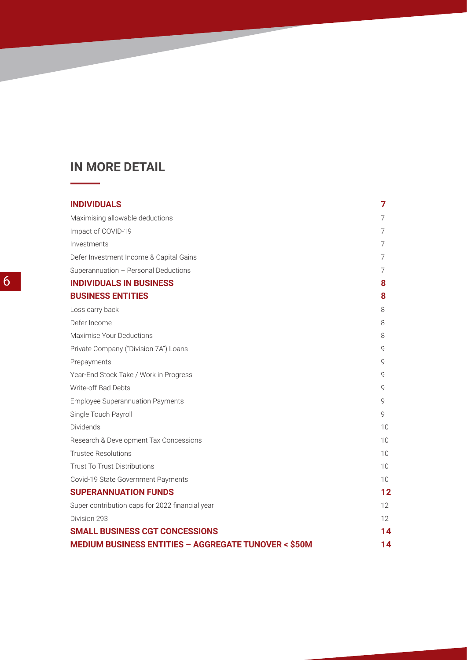# **IN MORE DETAIL**

 $\overline{\phantom{a}}$ 

| <b>INDIVIDUALS</b>                                             | 7                 |
|----------------------------------------------------------------|-------------------|
| Maximising allowable deductions                                | 7                 |
| Impact of COVID-19                                             | 7                 |
| Investments                                                    | 7                 |
| Defer Investment Income & Capital Gains                        | 7                 |
| Superannuation - Personal Deductions                           | 7                 |
| <b>INDIVIDUALS IN BUSINESS</b>                                 | 8                 |
| <b>BUSINESS ENTITIES</b>                                       | 8                 |
| Loss carry back                                                | 8                 |
| Defer Income                                                   | 8                 |
| Maximise Your Deductions                                       | 8                 |
| Private Company ("Division 7A") Loans                          | 9                 |
| Prepayments                                                    | 9                 |
| Year-End Stock Take / Work in Progress                         | 9                 |
| Write-off Bad Debts                                            | 9                 |
| <b>Employee Superannuation Payments</b>                        | 9                 |
| Single Touch Payroll                                           | 9                 |
| Dividends                                                      | 10                |
| Research & Development Tax Concessions                         | 10                |
| <b>Trustee Resolutions</b>                                     | 10                |
| <b>Trust To Trust Distributions</b>                            | 10                |
| Covid-19 State Government Payments                             | 10 <sup>1</sup>   |
| <b>SUPERANNUATION FUNDS</b>                                    | 12                |
| Super contribution caps for 2022 financial year                | $12 \overline{ }$ |
| Division 293                                                   | 12                |
| <b>SMALL BUSINESS CGT CONCESSIONS</b>                          | 14                |
| <b>MEDIUM BUSINESS ENTITIES - AGGREGATE TUNOVER &lt; \$50M</b> | 14                |

<u>e de la p</u>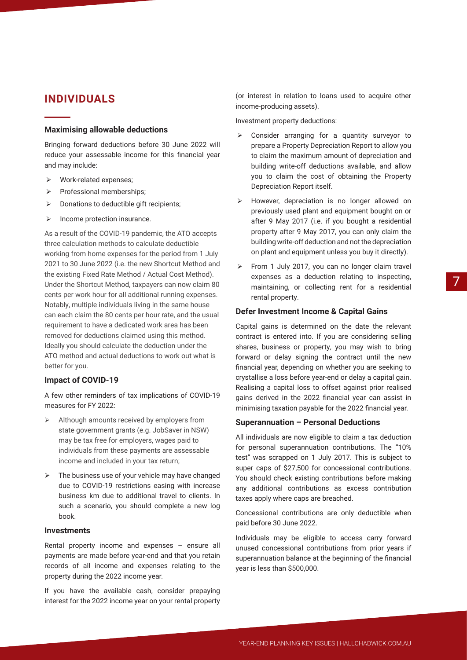### **INDIVIDUALS**

#### **Maximising allowable deductions**

Bringing forward deductions before 30 June 2022 will reduce your assessable income for this financial year and may include:

- ¾ Work-related expenses;
- ¾ Professional memberships;
- $\triangleright$  Donations to deductible gift recipients;
- $\triangleright$  Income protection insurance.

As a result of the COVID-19 pandemic, the ATO accepts three calculation methods to calculate deductible working from home expenses for the period from 1 July 2021 to 30 June 2022 (i.e. the new Shortcut Method and the existing Fixed Rate Method / Actual Cost Method). Under the Shortcut Method, taxpayers can now claim 80 cents per work hour for all additional running expenses. Notably, multiple individuals living in the same house can each claim the 80 cents per hour rate, and the usual requirement to have a dedicated work area has been removed for deductions claimed using this method. Ideally you should calculate the deduction under the ATO method and actual deductions to work out what is better for you.

#### **Impact of COVID-19**

A few other reminders of tax implications of COVID-19 measures for FY 2022:

- $\triangleright$  Although amounts received by employers from state government grants (e.g. JobSaver in NSW) may be tax free for employers, wages paid to individuals from these payments are assessable income and included in your tax return;
- $\triangleright$  The business use of your vehicle may have changed due to COVID-19 restrictions easing with increase business km due to additional travel to clients. In such a scenario, you should complete a new log book.

#### **Investments**

Rental property income and expenses – ensure all payments are made before year-end and that you retain records of all income and expenses relating to the property during the 2022 income year.

If you have the available cash, consider prepaying interest for the 2022 income year on your rental property

(or interest in relation to loans used to acquire other income-producing assets).

Investment property deductions:

- $\triangleright$  Consider arranging for a quantity surveyor to prepare a Property Depreciation Report to allow you to claim the maximum amount of depreciation and building write-off deductions available, and allow you to claim the cost of obtaining the Property Depreciation Report itself.
- ¾ However, depreciation is no longer allowed on previously used plant and equipment bought on or after 9 May 2017 (i.e. if you bought a residential property after 9 May 2017, you can only claim the building write-off deduction and not the depreciation on plant and equipment unless you buy it directly).
- From 1 July 2017, you can no longer claim travel expenses as a deduction relating to inspecting, maintaining, or collecting rent for a residential rental property.

#### **Defer Investment Income & Capital Gains**

Capital gains is determined on the date the relevant contract is entered into. If you are considering selling shares, business or property, you may wish to bring forward or delay signing the contract until the new financial year, depending on whether you are seeking to crystallise a loss before year-end or delay a capital gain. Realising a capital loss to offset against prior realised gains derived in the 2022 financial year can assist in minimising taxation payable for the 2022 financial year.

#### **Superannuation – Personal Deductions**

All individuals are now eligible to claim a tax deduction for personal superannuation contributions. The "10% test" was scrapped on 1 July 2017. This is subject to super caps of \$27,500 for concessional contributions. You should check existing contributions before making any additional contributions as excess contribution taxes apply where caps are breached.

Concessional contributions are only deductible when paid before 30 June 2022.

Individuals may be eligible to access carry forward unused concessional contributions from prior years if superannuation balance at the beginning of the financial year is less than \$500,000.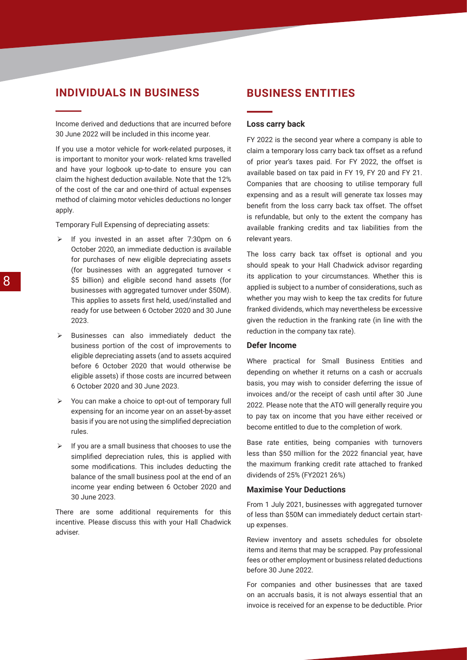### **INDIVIDUALS IN BUSINESS**

Income derived and deductions that are incurred before 30 June 2022 will be included in this income year.

If you use a motor vehicle for work-related purposes, it is important to monitor your work- related kms travelled and have your logbook up-to-date to ensure you can claim the highest deduction available. Note that the 12% of the cost of the car and one-third of actual expenses method of claiming motor vehicles deductions no longer apply.

Temporary Full Expensing of depreciating assets:

- $\triangleright$  If you invested in an asset after 7:30pm on 6 October 2020, an immediate deduction is available for purchases of new eligible depreciating assets (for businesses with an aggregated turnover < \$5 billion) and eligible second hand assets (for businesses with aggregated turnover under \$50M). This applies to assets first held, used/installed and ready for use between 6 October 2020 and 30 June 2023.
- $\triangleright$  Businesses can also immediately deduct the business portion of the cost of improvements to eligible depreciating assets (and to assets acquired before 6 October 2020 that would otherwise be eligible assets) if those costs are incurred between 6 October 2020 and 30 June 2023.
- ¾ You can make a choice to opt-out of temporary full expensing for an income year on an asset-by-asset basis if you are not using the simplified depreciation rules.
- $\triangleright$  If you are a small business that chooses to use the simplified depreciation rules, this is applied with some modifications. This includes deducting the balance of the small business pool at the end of an income year ending between 6 October 2020 and 30 June 2023.

There are some additional requirements for this incentive. Please discuss this with your Hall Chadwick adviser.

### **BUSINESS ENTITIES**

#### **Loss carry back**

FY 2022 is the second year where a company is able to claim a temporary loss carry back tax offset as a refund of prior year's taxes paid. For FY 2022, the offset is available based on tax paid in FY 19, FY 20 and FY 21. Companies that are choosing to utilise temporary full expensing and as a result will generate tax losses may benefit from the loss carry back tax offset. The offset is refundable, but only to the extent the company has available franking credits and tax liabilities from the relevant years.

The loss carry back tax offset is optional and you should speak to your Hall Chadwick advisor regarding its application to your circumstances. Whether this is applied is subject to a number of considerations, such as whether you may wish to keep the tax credits for future franked dividends, which may nevertheless be excessive given the reduction in the franking rate (in line with the reduction in the company tax rate).

#### **Defer Income**

Where practical for Small Business Entities and depending on whether it returns on a cash or accruals basis, you may wish to consider deferring the issue of invoices and/or the receipt of cash until after 30 June 2022. Please note that the ATO will generally require you to pay tax on income that you have either received or become entitled to due to the completion of work.

Base rate entities, being companies with turnovers less than \$50 million for the 2022 financial year, have the maximum franking credit rate attached to franked dividends of 25% (FY2021 26%)

#### **Maximise Your Deductions**

From 1 July 2021, businesses with aggregated turnover of less than \$50M can immediately deduct certain startup expenses.

Review inventory and assets schedules for obsolete items and items that may be scrapped. Pay professional fees or other employment or business related deductions before 30 June 2022.

For companies and other businesses that are taxed on an accruals basis, it is not always essential that an invoice is received for an expense to be deductible. Prior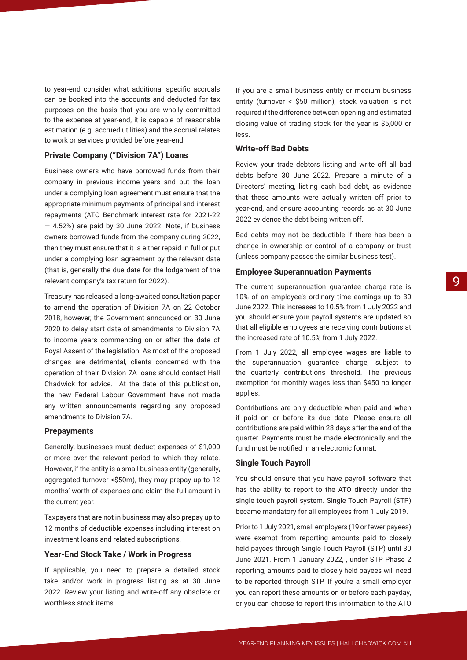to year-end consider what additional specific accruals can be booked into the accounts and deducted for tax purposes on the basis that you are wholly committed to the expense at year-end, it is capable of reasonable estimation (e.g. accrued utilities) and the accrual relates to work or services provided before year-end.

#### **Private Company ("Division 7A") Loans**

Business owners who have borrowed funds from their company in previous income years and put the loan under a complying loan agreement must ensure that the appropriate minimum payments of principal and interest repayments (ATO Benchmark interest rate for 2021-22 — 4.52%) are paid by 30 June 2022. Note, if business owners borrowed funds from the company during 2022, then they must ensure that it is either repaid in full or put under a complying loan agreement by the relevant date (that is, generally the due date for the lodgement of the relevant company's tax return for 2022).

Treasury has released a long-awaited consultation paper to amend the operation of Division 7A on 22 October 2018, however, the Government announced on 30 June 2020 to delay start date of amendments to Division 7A to income years commencing on or after the date of Royal Assent of the legislation. As most of the proposed changes are detrimental, clients concerned with the operation of their Division 7A loans should contact Hall Chadwick for advice. At the date of this publication, the new Federal Labour Government have not made any written announcements regarding any proposed amendments to Division 7A.

#### **Prepayments**

Generally, businesses must deduct expenses of \$1,000 or more over the relevant period to which they relate. However, if the entity is a small business entity (generally, aggregated turnover <\$50m), they may prepay up to 12 months' worth of expenses and claim the full amount in the current year.

Taxpayers that are not in business may also prepay up to 12 months of deductible expenses including interest on investment loans and related subscriptions.

#### **Year-End Stock Take / Work in Progress**

If applicable, you need to prepare a detailed stock take and/or work in progress listing as at 30 June 2022. Review your listing and write-off any obsolete or worthless stock items.

If you are a small business entity or medium business entity (turnover < \$50 million), stock valuation is not required if the difference between opening and estimated closing value of trading stock for the year is \$5,000 or less.

#### **Write-off Bad Debts**

Review your trade debtors listing and write off all bad debts before 30 June 2022. Prepare a minute of a Directors' meeting, listing each bad debt, as evidence that these amounts were actually written off prior to year-end, and ensure accounting records as at 30 June 2022 evidence the debt being written off.

Bad debts may not be deductible if there has been a change in ownership or control of a company or trust (unless company passes the similar business test).

#### **Employee Superannuation Payments**

The current superannuation guarantee charge rate is 10% of an employee's ordinary time earnings up to 30 June 2022. This increases to 10.5% from 1 July 2022 and you should ensure your payroll systems are updated so that all eligible employees are receiving contributions at the increased rate of 10.5% from 1 July 2022.

From 1 July 2022, all employee wages are liable to the superannuation guarantee charge, subject to the quarterly contributions threshold. The previous exemption for monthly wages less than \$450 no longer applies.

Contributions are only deductible when paid and when if paid on or before its due date. Please ensure all contributions are paid within 28 days after the end of the quarter. Payments must be made electronically and the fund must be notified in an electronic format.

#### **Single Touch Payroll**

You should ensure that you have payroll software that has the ability to report to the ATO directly under the single touch payroll system. Single Touch Payroll (STP) became mandatory for all employees from 1 July 2019.

Prior to 1 July 2021, small employers (19 or fewer payees) were exempt from reporting amounts paid to closely held payees through Single Touch Payroll (STP) until 30 June 2021. From 1 January 2022, , under STP Phase 2 reporting, amounts paid to closely held payees will need to be reported through STP. If you're a small employer you can report these amounts on or before each payday, or you can choose to report this information to the ATO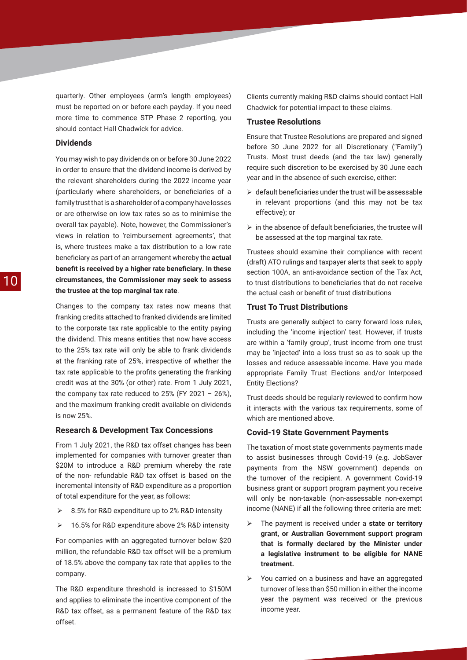quarterly. Other employees (arm's length employees) must be reported on or before each payday. If you need more time to commence STP Phase 2 reporting, you should contact Hall Chadwick for advice.

#### **Dividends**

You may wish to pay dividends on or before 30 June 2022 in order to ensure that the dividend income is derived by the relevant shareholders during the 2022 income year (particularly where shareholders, or beneficiaries of a family trust that is a shareholder of a company have losses or are otherwise on low tax rates so as to minimise the overall tax payable). Note, however, the Commissioner's views in relation to 'reimbursement agreements', that is, where trustees make a tax distribution to a low rate beneficiary as part of an arrangement whereby the **actual benefit is received by a higher rate beneficiary. In these circumstances, the Commissioner may seek to assess the trustee at the top marginal tax rate**.

Changes to the company tax rates now means that franking credits attached to franked dividends are limited to the corporate tax rate applicable to the entity paying the dividend. This means entities that now have access to the 25% tax rate will only be able to frank dividends at the franking rate of 25%, irrespective of whether the tax rate applicable to the profits generating the franking credit was at the 30% (or other) rate. From 1 July 2021, the company tax rate reduced to  $25\%$  (FY 2021 – 26%), and the maximum franking credit available on dividends is now 25%.

#### **Research & Development Tax Concessions**

From 1 July 2021, the R&D tax offset changes has been implemented for companies with turnover greater than \$20M to introduce a R&D premium whereby the rate of the non- refundable R&D tax offset is based on the incremental intensity of R&D expenditure as a proportion of total expenditure for the year, as follows:

- $\geq$  8.5% for R&D expenditure up to 2% R&D intensity
- ¾ 16.5% for R&D expenditure above 2% R&D intensity

For companies with an aggregated turnover below \$20 million, the refundable R&D tax offset will be a premium of 18.5% above the company tax rate that applies to the company.

The R&D expenditure threshold is increased to \$150M and applies to eliminate the incentive component of the R&D tax offset, as a permanent feature of the R&D tax offset.

Clients currently making R&D claims should contact Hall Chadwick for potential impact to these claims.

#### **Trustee Resolutions**

Ensure that Trustee Resolutions are prepared and signed before 30 June 2022 for all Discretionary ("Family") Trusts. Most trust deeds (and the tax law) generally require such discretion to be exercised by 30 June each year and in the absence of such exercise, either:

- $\triangleright$  default beneficiaries under the trust will be assessable in relevant proportions (and this may not be tax effective); or
- $\triangleright$  in the absence of default beneficiaries, the trustee will be assessed at the top marginal tax rate.

Trustees should examine their compliance with recent (draft) ATO rulings and taxpayer alerts that seek to apply section 100A, an anti-avoidance section of the Tax Act, to trust distributions to beneficiaries that do not receive the actual cash or benefit of trust distributions

#### **Trust To Trust Distributions**

Trusts are generally subject to carry forward loss rules, including the 'income injection' test. However, if trusts are within a 'family group', trust income from one trust may be 'injected' into a loss trust so as to soak up the losses and reduce assessable income. Have you made appropriate Family Trust Elections and/or Interposed Entity Elections?

Trust deeds should be regularly reviewed to confirm how it interacts with the various tax requirements, some of which are mentioned above.

#### **Covid-19 State Government Payments**

The taxation of most state governments payments made to assist businesses through Covid-19 (e.g. JobSaver payments from the NSW government) depends on the turnover of the recipient. A government Covid-19 business grant or support program payment you receive will only be non-taxable (non-assessable non-exempt income (NANE) if **all** the following three criteria are met:

- ¾ The payment is received under a **state or territory grant, or Australian Government support program that is formally declared by the Minister under a legislative instrument to be eligible for NANE treatment.**
- $\triangleright$  You carried on a business and have an aggregated turnover of less than \$50 million in either the income year the payment was received or the previous income year.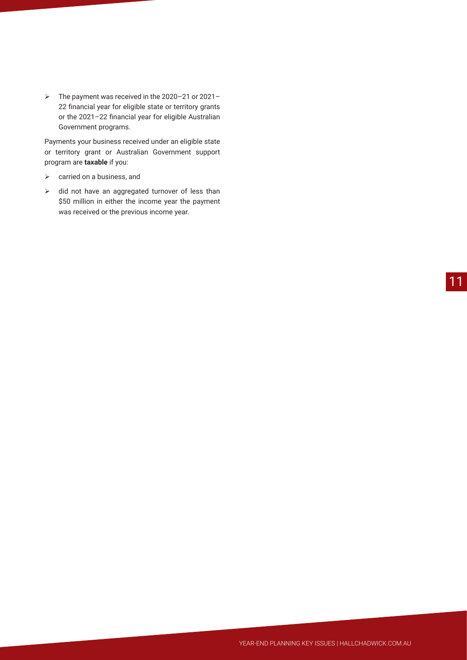¾ The payment was received in the 2020–21 or 2021– 22 financial year for eligible state or territory grants or the 2021–22 financial year for eligible Australian Government programs.

Payments your business received under an eligible state or territory grant or Australian Government support program are **taxable** if you:

- $\triangleright$  carried on a business, and
- $\triangleright$  did not have an aggregated turnover of less than \$50 million in either the income year the payment was received or the previous income year.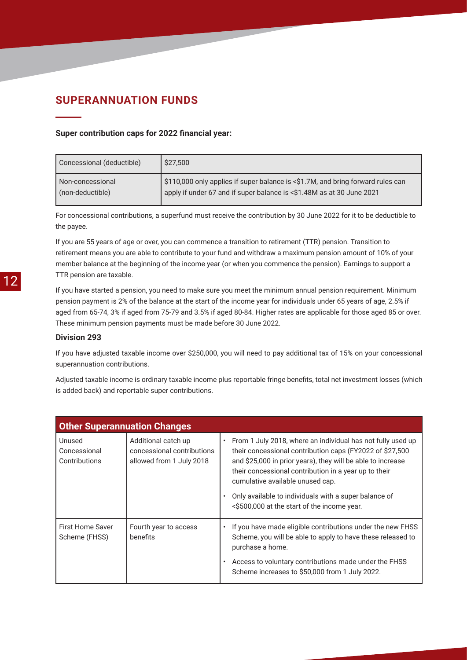### **SUPERANNUATION FUNDS**

#### **Super contribution caps for 2022 financial year:**

| Concessional (deductible) | \$27,500                                                                        |
|---------------------------|---------------------------------------------------------------------------------|
| Non-concessional          | \$110,000 only applies if super balance is <\$1.7M, and bring forward rules can |
| (non-deductible)          | apply if under 67 and if super balance is <\$1.48M as at 30 June 2021           |

For concessional contributions, a superfund must receive the contribution by 30 June 2022 for it to be deductible to the payee.

If you are 55 years of age or over, you can commence a transition to retirement (TTR) pension. Transition to retirement means you are able to contribute to your fund and withdraw a maximum pension amount of 10% of your member balance at the beginning of the income year (or when you commence the pension). Earnings to support a TTR pension are taxable.

If you have started a pension, you need to make sure you meet the minimum annual pension requirement. Minimum pension payment is 2% of the balance at the start of the income year for individuals under 65 years of age, 2.5% if aged from 65-74, 3% if aged from 75-79 and 3.5% if aged 80-84. Higher rates are applicable for those aged 85 or over. These minimum pension payments must be made before 30 June 2022.

#### **Division 293**

If you have adjusted taxable income over \$250,000, you will need to pay additional tax of 15% on your concessional superannuation contributions.

Adjusted taxable income is ordinary taxable income plus reportable fringe benefits, total net investment losses (which is added back) and reportable super contributions.

| <b>Other Superannuation Changes</b>      |                                                                               |                                                                                                                                                                                                                                                                                                                                                                                                          |
|------------------------------------------|-------------------------------------------------------------------------------|----------------------------------------------------------------------------------------------------------------------------------------------------------------------------------------------------------------------------------------------------------------------------------------------------------------------------------------------------------------------------------------------------------|
| Unused<br>Concessional<br>Contributions  | Additional catch up<br>concessional contributions<br>allowed from 1 July 2018 | From 1 July 2018, where an individual has not fully used up<br>$\bullet$<br>their concessional contribution caps (FY2022 of \$27,500<br>and \$25,000 in prior years), they will be able to increase<br>their concessional contribution in a year up to their<br>cumulative available unused cap.<br>Only available to individuals with a super balance of<br><\$500,000 at the start of the income year. |
| <b>First Home Saver</b><br>Scheme (FHSS) | Fourth year to access<br>benefits                                             | If you have made eligible contributions under the new FHSS<br>Scheme, you will be able to apply to have these released to<br>purchase a home.<br>Access to voluntary contributions made under the FHSS<br>Scheme increases to \$50,000 from 1 July 2022.                                                                                                                                                 |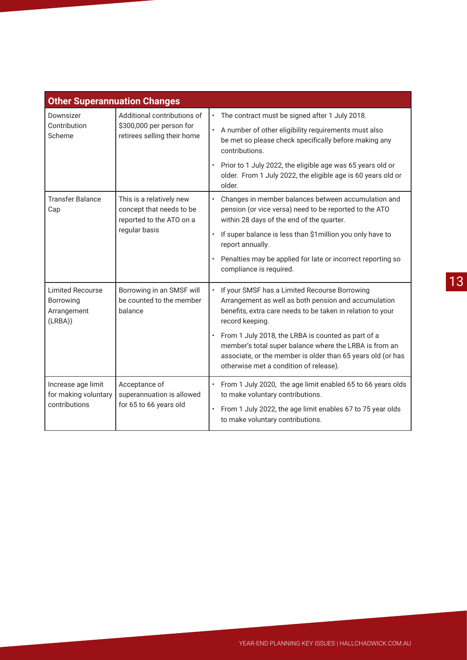| <b>Other Superannuation Changes</b>                            |                                                                                                   |                                                                                                                                                                                                                                                                                                                                                                                                    |
|----------------------------------------------------------------|---------------------------------------------------------------------------------------------------|----------------------------------------------------------------------------------------------------------------------------------------------------------------------------------------------------------------------------------------------------------------------------------------------------------------------------------------------------------------------------------------------------|
| Downsizer<br>Contribution<br>Scheme                            | Additional contributions of<br>\$300,000 per person for<br>retirees selling their home            | The contract must be signed after 1 July 2018.<br>A number of other eligibility requirements must also<br>be met so please check specifically before making any<br>contributions.<br>Prior to 1 July 2022, the eligible age was 65 years old or<br>older. From 1 July 2022, the eligible age is 60 years old or<br>older.                                                                          |
| <b>Transfer Balance</b><br>Cap                                 | This is a relatively new<br>concept that needs to be<br>reported to the ATO on a<br>regular basis | Changes in member balances between accumulation and<br>$\bullet$<br>pension (or vice versa) need to be reported to the ATO<br>within 28 days of the end of the quarter.<br>If super balance is less than \$1 million you only have to<br>$\bullet$<br>report annually.<br>Penalties may be applied for late or incorrect reporting so                                                              |
| <b>Limited Recourse</b><br>Borrowing<br>Arrangement<br>(LRBA)) | Borrowing in an SMSF will<br>be counted to the member<br>balance                                  | compliance is required.<br>If your SMSF has a Limited Recourse Borrowing<br>Arrangement as well as both pension and accumulation<br>benefits, extra care needs to be taken in relation to your<br>record keeping.<br>• From 1 July 2018, the LRBA is counted as part of a<br>member's total super balance where the LRBA is from an<br>associate, or the member is older than 65 years old (or has |
| Increase age limit<br>for making voluntary<br>contributions    | Acceptance of<br>superannuation is allowed<br>for 65 to 66 years old                              | otherwise met a condition of release).<br>From 1 July 2020, the age limit enabled 65 to 66 years olds<br>to make voluntary contributions.<br>From 1 July 2022, the age limit enables 67 to 75 year olds<br>$\bullet$<br>to make voluntary contributions.                                                                                                                                           |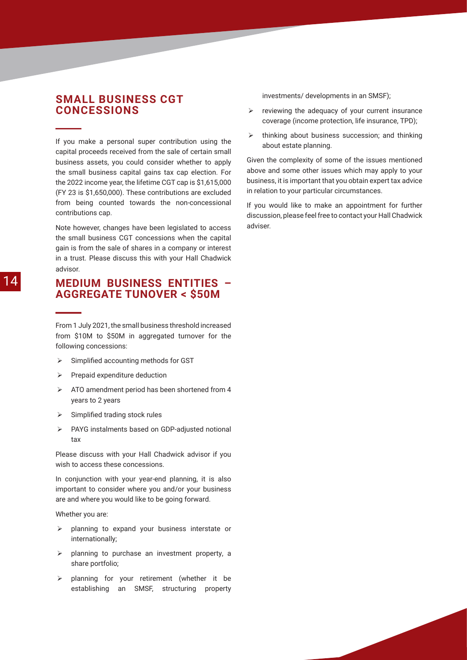### **SMALL BUSINESS CGT CONCESSIONS**

If you make a personal super contribution using the capital proceeds received from the sale of certain small business assets, you could consider whether to apply the small business capital gains tax cap election. For the 2022 income year, the lifetime CGT cap is \$1,615,000 (FY 23 is \$1,650,000). These contributions are excluded from being counted towards the non-concessional contributions cap.

Note however, changes have been legislated to access the small business CGT concessions when the capital gain is from the sale of shares in a company or interest in a trust. Please discuss this with your Hall Chadwick advisor.

### **MEDIUM BUSINESS ENTITIES – AGGREGATE TUNOVER < \$50M**

From 1 July 2021, the small business threshold increased from \$10M to \$50M in aggregated turnover for the following concessions:

- $\triangleright$  Simplified accounting methods for GST
- $\triangleright$  Prepaid expenditure deduction
- $\triangleright$  ATO amendment period has been shortened from 4 years to 2 years
- $\triangleright$  Simplified trading stock rules
- ¾ PAYG instalments based on GDP-adjusted notional tax

Please discuss with your Hall Chadwick advisor if you wish to access these concessions.

In conjunction with your year-end planning, it is also important to consider where you and/or your business are and where you would like to be going forward.

Whether you are:

- $\triangleright$  planning to expand your business interstate or internationally;
- $\triangleright$  planning to purchase an investment property, a share portfolio;
- $\triangleright$  planning for your retirement (whether it be establishing an SMSF, structuring property

investments/ developments in an SMSF);

- $\triangleright$  reviewing the adequacy of your current insurance coverage (income protection, life insurance, TPD);
- $\triangleright$  thinking about business succession; and thinking about estate planning.

Given the complexity of some of the issues mentioned above and some other issues which may apply to your business, it is important that you obtain expert tax advice in relation to your particular circumstances.

If you would like to make an appointment for further discussion, please feel free to contact your Hall Chadwick adviser.